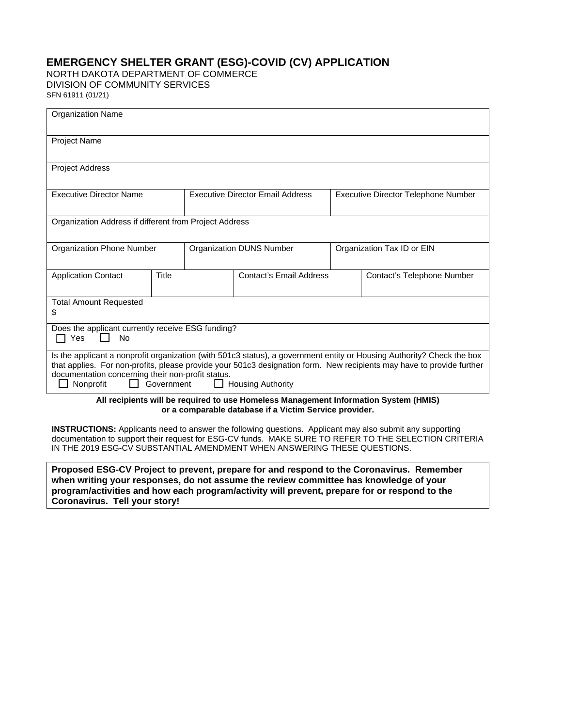# **EMERGENCY SHELTER GRANT (ESG)-COVID (CV) APPLICATION**

NORTH DAKOTA DEPARTMENT OF COMMERCE DIVISION OF COMMUNITY SERVICES SFN 61911 (01/21)

|  | וובו טירונט |  |  |  |
|--|-------------|--|--|--|
|  |             |  |  |  |

| <b>Organization Name</b>                                                                                                                                                                                                                                                                                                                                                    |       |                                         |                                |                            |                                     |  |
|-----------------------------------------------------------------------------------------------------------------------------------------------------------------------------------------------------------------------------------------------------------------------------------------------------------------------------------------------------------------------------|-------|-----------------------------------------|--------------------------------|----------------------------|-------------------------------------|--|
| <b>Project Name</b>                                                                                                                                                                                                                                                                                                                                                         |       |                                         |                                |                            |                                     |  |
| <b>Project Address</b>                                                                                                                                                                                                                                                                                                                                                      |       |                                         |                                |                            |                                     |  |
| <b>Executive Director Name</b>                                                                                                                                                                                                                                                                                                                                              |       | <b>Executive Director Email Address</b> |                                |                            | Executive Director Telephone Number |  |
| Organization Address if different from Project Address                                                                                                                                                                                                                                                                                                                      |       |                                         |                                |                            |                                     |  |
| Organization Phone Number                                                                                                                                                                                                                                                                                                                                                   |       | Organization DUNS Number                |                                | Organization Tax ID or EIN |                                     |  |
| <b>Application Contact</b>                                                                                                                                                                                                                                                                                                                                                  | Title |                                         | <b>Contact's Email Address</b> |                            | Contact's Telephone Number          |  |
| <b>Total Amount Requested</b><br>\$                                                                                                                                                                                                                                                                                                                                         |       |                                         |                                |                            |                                     |  |
| Does the applicant currently receive ESG funding?<br>$\Box$ Yes<br>No                                                                                                                                                                                                                                                                                                       |       |                                         |                                |                            |                                     |  |
| Is the applicant a nonprofit organization (with 501c3 status), a government entity or Housing Authority? Check the box<br>that applies. For non-profits, please provide your 501c3 designation form. New recipients may have to provide further<br>documentation concerning their non-profit status.<br>Nonprofit<br>Government<br><b>Housing Authority</b><br>$\mathbf{1}$ |       |                                         |                                |                            |                                     |  |
| All recipients will be required to use Homeless Management Information System (HMIS)<br>or a comparable database if a Victim Service provider.                                                                                                                                                                                                                              |       |                                         |                                |                            |                                     |  |
| <b>INSTRUCTIONS:</b> Applicants need to answer the following questions. Applicant may also submit any supporting<br>documentation to support their request for ESG-CV funds. MAKE SURE TO REFER TO THE SELECTION CRITERIA<br>IN THE 2019 ESG-CV SUBSTANTIAL AMENDMENT WHEN ANSWERING THESE QUESTIONS.                                                                       |       |                                         |                                |                            |                                     |  |

**Proposed ESG-CV Project to prevent, prepare for and respond to the Coronavirus. Remember when writing your responses, do not assume the review committee has knowledge of your program/activities and how each program/activity will prevent, prepare for or respond to the Coronavirus. Tell your story!**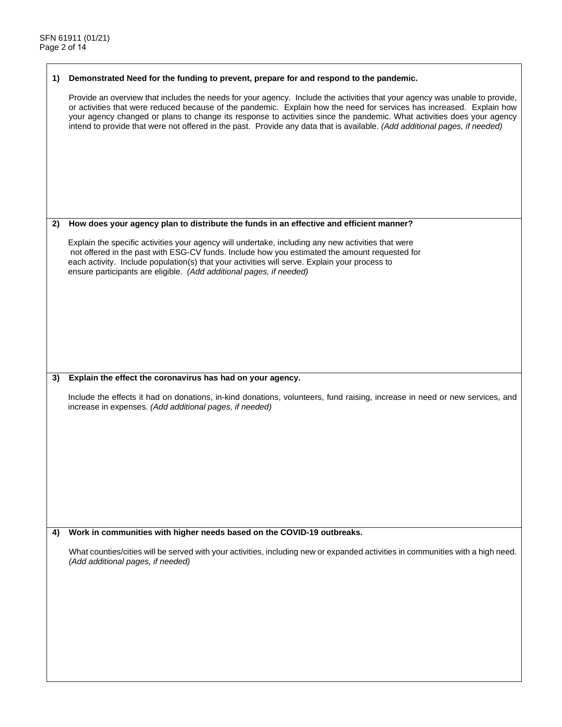#### **1) Demonstrated Need for the funding to prevent, prepare for and respond to the pandemic.**

Provide an overview that includes the needs for your agency. Include the activities that your agency was unable to provide, or activities that were reduced because of the pandemic. Explain how the need for services has increased. Explain how your agency changed or plans to change its response to activities since the pandemic. What activities does your agency intend to provide that were not offered in the past. Provide any data that is available. *(Add additional pages, if needed)*

### **2) How does your agency plan to distribute the funds in an effective and efficient manner?**

Explain the specific activities your agency will undertake, including any new activities that were not offered in the past with ESG-CV funds. Include how you estimated the amount requested for each activity. Include population(s) that your activities will serve. Explain your process to ensure participants are eligible. *(Add additional pages, if needed)*

### **3) Explain the effect the coronavirus has had on your agency.**

Include the effects it had on donations, in-kind donations, volunteers, fund raising, increase in need or new services, and increase in expenses. *(Add additional pages, if needed)*

### **4) Work in communities with higher needs based on the COVID-19 outbreaks.**

What counties/cities will be served with your activities, including new or expanded activities in communities with a high need. *(Add additional pages, if needed)*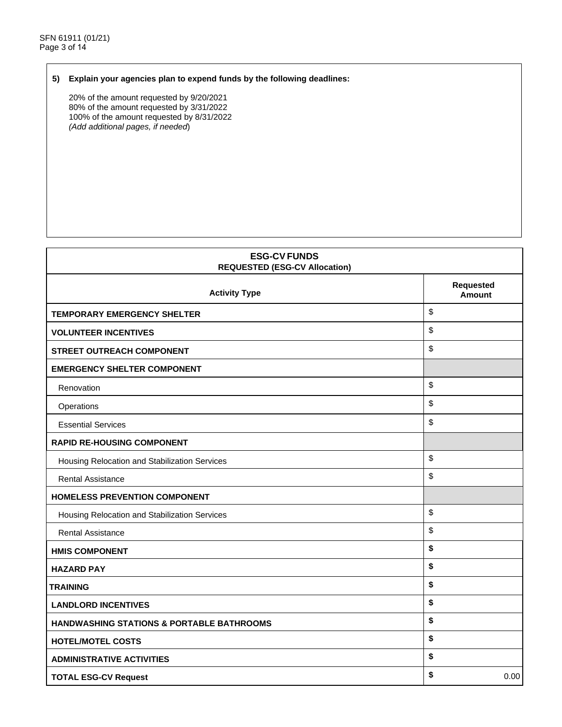## **5) Explain your agencies plan to expend funds by the following deadlines:**

20% of the amount requested by 9/20/2021 80% of the amount requested by 3/31/2022 100% of the amount requested by 8/31/2022 *(Add additional pages, if needed*)

| <b>ESG-CV FUNDS</b><br><b>REQUESTED (ESG-CV Allocation)</b> |                                   |  |
|-------------------------------------------------------------|-----------------------------------|--|
| <b>Activity Type</b>                                        | <b>Requested</b><br><b>Amount</b> |  |
| <b>TEMPORARY EMERGENCY SHELTER</b>                          | \$                                |  |
| <b>VOLUNTEER INCENTIVES</b>                                 | \$                                |  |
| <b>STREET OUTREACH COMPONENT</b>                            | \$                                |  |
| <b>EMERGENCY SHELTER COMPONENT</b>                          |                                   |  |
| Renovation                                                  | \$                                |  |
| Operations                                                  | \$                                |  |
| <b>Essential Services</b>                                   | \$                                |  |
| <b>RAPID RE-HOUSING COMPONENT</b>                           |                                   |  |
| Housing Relocation and Stabilization Services               | \$                                |  |
| <b>Rental Assistance</b>                                    | \$                                |  |
| <b>HOMELESS PREVENTION COMPONENT</b>                        |                                   |  |
| Housing Relocation and Stabilization Services               | \$                                |  |
| <b>Rental Assistance</b>                                    | \$                                |  |
| <b>HMIS COMPONENT</b>                                       | \$                                |  |
| <b>HAZARD PAY</b>                                           | \$                                |  |
| <b>TRAINING</b>                                             | \$                                |  |
| <b>LANDLORD INCENTIVES</b>                                  | \$                                |  |
| <b>HANDWASHING STATIONS &amp; PORTABLE BATHROOMS</b>        | \$                                |  |
| <b>HOTEL/MOTEL COSTS</b>                                    | \$                                |  |
| <b>ADMINISTRATIVE ACTIVITIES</b>                            | \$                                |  |
| <b>TOTAL ESG-CV Request</b>                                 | \$<br>0.00                        |  |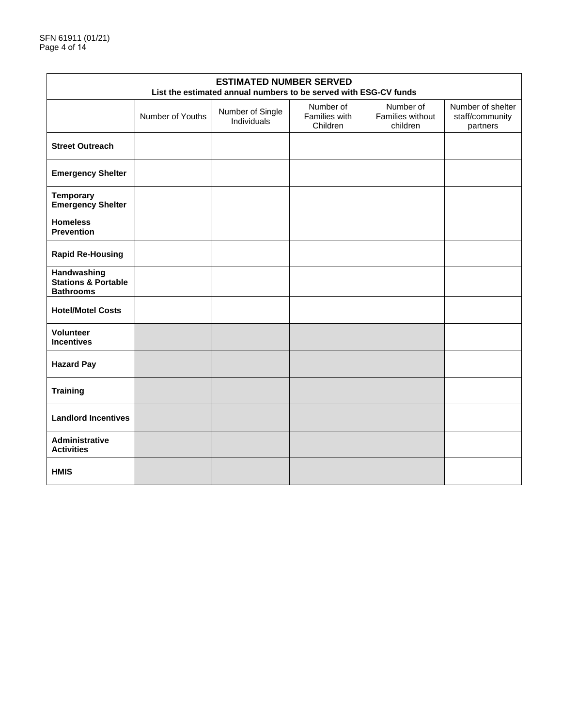| <b>ESTIMATED NUMBER SERVED</b><br>List the estimated annual numbers to be served with ESG-CV funds |                  |                                 |                                        |                                           |                                                  |
|----------------------------------------------------------------------------------------------------|------------------|---------------------------------|----------------------------------------|-------------------------------------------|--------------------------------------------------|
|                                                                                                    | Number of Youths | Number of Single<br>Individuals | Number of<br>Families with<br>Children | Number of<br>Families without<br>children | Number of shelter<br>staff/community<br>partners |
| <b>Street Outreach</b>                                                                             |                  |                                 |                                        |                                           |                                                  |
| <b>Emergency Shelter</b>                                                                           |                  |                                 |                                        |                                           |                                                  |
| <b>Temporary</b><br><b>Emergency Shelter</b>                                                       |                  |                                 |                                        |                                           |                                                  |
| <b>Homeless</b><br><b>Prevention</b>                                                               |                  |                                 |                                        |                                           |                                                  |
| <b>Rapid Re-Housing</b>                                                                            |                  |                                 |                                        |                                           |                                                  |
| Handwashing<br><b>Stations &amp; Portable</b><br><b>Bathrooms</b>                                  |                  |                                 |                                        |                                           |                                                  |
| <b>Hotel/Motel Costs</b>                                                                           |                  |                                 |                                        |                                           |                                                  |
| Volunteer<br><b>Incentives</b>                                                                     |                  |                                 |                                        |                                           |                                                  |
| <b>Hazard Pay</b>                                                                                  |                  |                                 |                                        |                                           |                                                  |
| <b>Training</b>                                                                                    |                  |                                 |                                        |                                           |                                                  |
| <b>Landlord Incentives</b>                                                                         |                  |                                 |                                        |                                           |                                                  |
| Administrative<br><b>Activities</b>                                                                |                  |                                 |                                        |                                           |                                                  |
| <b>HMIS</b>                                                                                        |                  |                                 |                                        |                                           |                                                  |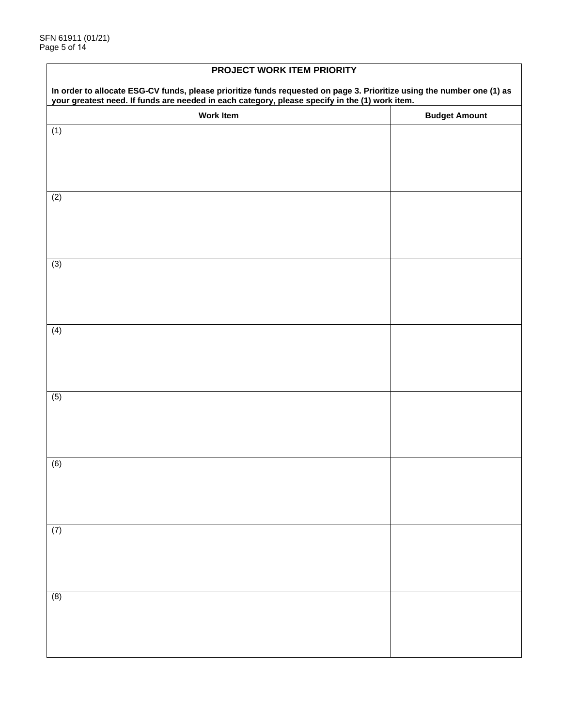| PROJECT WORK ITEM PRIORITY                                                                                                                                                                                            |                      |  |  |
|-----------------------------------------------------------------------------------------------------------------------------------------------------------------------------------------------------------------------|----------------------|--|--|
| In order to allocate ESG-CV funds, please prioritize funds requested on page 3. Prioritize using the number one (1) as your greatest need. If funds are needed in each category, please specify in the (1) work item. |                      |  |  |
| <b>Work Item</b>                                                                                                                                                                                                      | <b>Budget Amount</b> |  |  |
| (1)                                                                                                                                                                                                                   |                      |  |  |
|                                                                                                                                                                                                                       |                      |  |  |
|                                                                                                                                                                                                                       |                      |  |  |
| (2)                                                                                                                                                                                                                   |                      |  |  |
|                                                                                                                                                                                                                       |                      |  |  |
|                                                                                                                                                                                                                       |                      |  |  |
|                                                                                                                                                                                                                       |                      |  |  |
| (3)                                                                                                                                                                                                                   |                      |  |  |
|                                                                                                                                                                                                                       |                      |  |  |
|                                                                                                                                                                                                                       |                      |  |  |
| (4)                                                                                                                                                                                                                   |                      |  |  |
|                                                                                                                                                                                                                       |                      |  |  |
|                                                                                                                                                                                                                       |                      |  |  |
|                                                                                                                                                                                                                       |                      |  |  |
| (5)                                                                                                                                                                                                                   |                      |  |  |
|                                                                                                                                                                                                                       |                      |  |  |
|                                                                                                                                                                                                                       |                      |  |  |
| (6)                                                                                                                                                                                                                   |                      |  |  |
|                                                                                                                                                                                                                       |                      |  |  |
|                                                                                                                                                                                                                       |                      |  |  |
|                                                                                                                                                                                                                       |                      |  |  |
| (7)                                                                                                                                                                                                                   |                      |  |  |
|                                                                                                                                                                                                                       |                      |  |  |
|                                                                                                                                                                                                                       |                      |  |  |
|                                                                                                                                                                                                                       |                      |  |  |
| (8)                                                                                                                                                                                                                   |                      |  |  |
|                                                                                                                                                                                                                       |                      |  |  |
|                                                                                                                                                                                                                       |                      |  |  |

# **PROJECT WORK ITEM PRIORITY**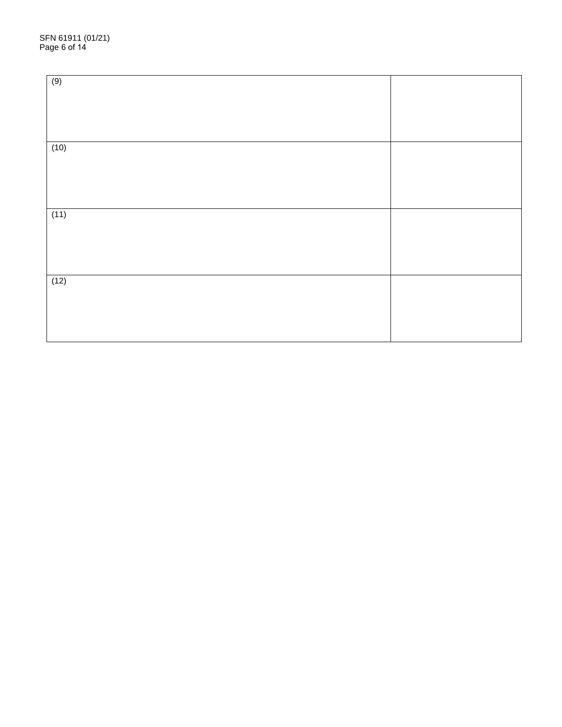| (9)  |  |
|------|--|
|      |  |
|      |  |
| (10) |  |
|      |  |
|      |  |
| (11) |  |
|      |  |
|      |  |
| (12) |  |
|      |  |
|      |  |
|      |  |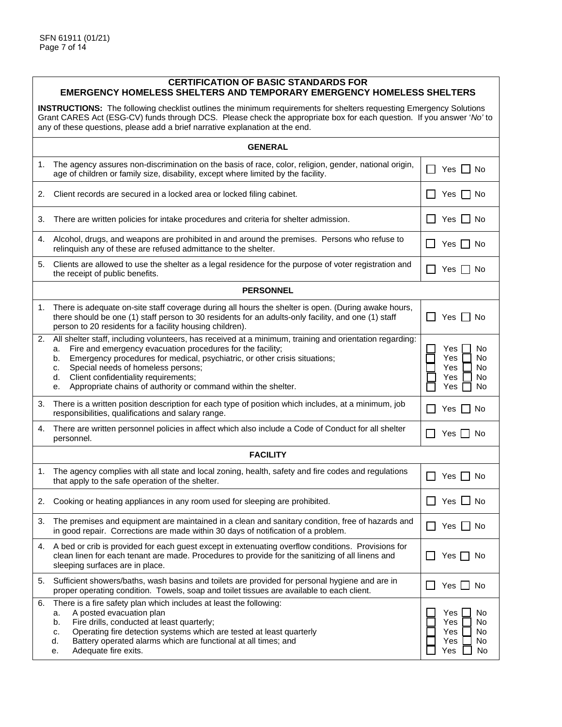## **CERTIFICATION OF BASIC STANDARDS FOR EMERGENCY HOMELESS SHELTERS AND TEMPORARY EMERGENCY HOMELESS SHELTERS**

**INSTRUCTIONS:** The following checklist outlines the minimum requirements for shelters requesting Emergency Solutions Grant CARES Act (ESG-CV) funds through DCS. Please check the appropriate box for each question. If you answer '*No'* to any of these questions, please add a brief narrative explanation at the end.

|    | <b>GENERAL</b>                                                                                                                                                                                                                                                                                                                                                                                                                    |                                                               |
|----|-----------------------------------------------------------------------------------------------------------------------------------------------------------------------------------------------------------------------------------------------------------------------------------------------------------------------------------------------------------------------------------------------------------------------------------|---------------------------------------------------------------|
| 1. | The agency assures non-discrimination on the basis of race, color, religion, gender, national origin,<br>age of children or family size, disability, except where limited by the facility.                                                                                                                                                                                                                                        | Yes $\Box$ No                                                 |
| 2. | Client records are secured in a locked area or locked filing cabinet.                                                                                                                                                                                                                                                                                                                                                             | Yes  <br>No                                                   |
| 3. | There are written policies for intake procedures and criteria for shelter admission.                                                                                                                                                                                                                                                                                                                                              | Yes     No<br>$\mathbf{I}$                                    |
| 4. | Alcohol, drugs, and weapons are prohibited in and around the premises. Persons who refuse to<br>relinquish any of these are refused admittance to the shelter.                                                                                                                                                                                                                                                                    | Yes     No                                                    |
| 5. | Clients are allowed to use the shelter as a legal residence for the purpose of voter registration and<br>the receipt of public benefits.                                                                                                                                                                                                                                                                                          | Yes $\Gamma$<br>No.                                           |
|    | <b>PERSONNEL</b>                                                                                                                                                                                                                                                                                                                                                                                                                  |                                                               |
| 1. | There is adequate on-site staff coverage during all hours the shelter is open. (During awake hours,<br>there should be one (1) staff person to 30 residents for an adults-only facility, and one (1) staff<br>person to 20 residents for a facility housing children).                                                                                                                                                            | Yes $\Box$<br>No.                                             |
| 2. | All shelter staff, including volunteers, has received at a minimum, training and orientation regarding:<br>Fire and emergency evacuation procedures for the facility;<br>a.<br>Emergency procedures for medical, psychiatric, or other crisis situations;<br>b.<br>Special needs of homeless persons;<br>c.<br>Client confidentiality requirements;<br>d.<br>Appropriate chains of authority or command within the shelter.<br>е. | Yes<br>No<br>Yes<br>No<br>Yes<br>No<br>Yes<br>No<br>Yes<br>No |
| 3. | There is a written position description for each type of position which includes, at a minimum, job<br>responsibilities, qualifications and salary range.                                                                                                                                                                                                                                                                         | Yes     No                                                    |
| 4. | There are written personnel policies in affect which also include a Code of Conduct for all shelter<br>personnel.                                                                                                                                                                                                                                                                                                                 | Yes    <br>No.                                                |
|    | <b>FACILITY</b>                                                                                                                                                                                                                                                                                                                                                                                                                   |                                                               |
| 1. | The agency complies with all state and local zoning, health, safety and fire codes and regulations<br>that apply to the safe operation of the shelter.                                                                                                                                                                                                                                                                            | Yes No                                                        |
| 2. | Cooking or heating appliances in any room used for sleeping are prohibited.                                                                                                                                                                                                                                                                                                                                                       | Yes $\Box$ No                                                 |
| 3. | The premises and equipment are maintained in a clean and sanitary condition, free of hazards and<br>in good repair. Corrections are made within 30 days of notification of a problem.                                                                                                                                                                                                                                             | Yes    <br>No.                                                |
| 4. | A bed or crib is provided for each guest except in extenuating overflow conditions. Provisions for<br>clean linen for each tenant are made. Procedures to provide for the sanitizing of all linens and<br>sleeping surfaces are in place.                                                                                                                                                                                         | Yes $\Box$<br>No                                              |
| 5. | Sufficient showers/baths, wash basins and toilets are provided for personal hygiene and are in<br>proper operating condition. Towels, soap and toilet tissues are available to each client.                                                                                                                                                                                                                                       | $\Box$ Yes $\Box$ No                                          |
| 6. | There is a fire safety plan which includes at least the following:<br>A posted evacuation plan<br>a.<br>Fire drills, conducted at least quarterly;<br>b.<br>Operating fire detection systems which are tested at least quarterly<br>c.<br>d.<br>Battery operated alarms which are functional at all times; and<br>Adequate fire exits.<br>е.                                                                                      | Yes<br>No<br>No<br>Yes<br>Yes<br>No<br>Yes<br>No<br>Yes<br>No |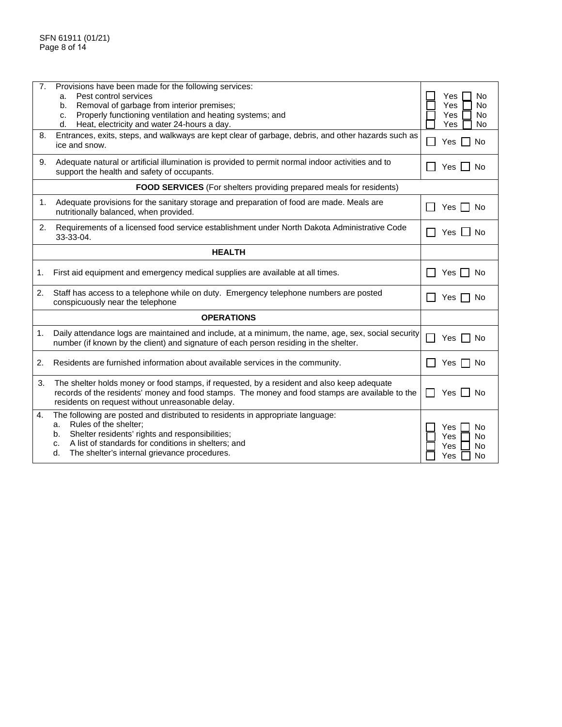| 7. | Provisions have been made for the following services:<br>Pest control services<br>a.<br>Removal of garbage from interior premises;<br>b.<br>Properly functioning ventilation and heating systems; and<br>c.<br>Heat, electricity and water 24-hours a day.<br>d.                          | No<br>Yes<br>Yes<br><b>No</b><br><b>Yes</b><br>No<br>Yes<br>No |
|----|-------------------------------------------------------------------------------------------------------------------------------------------------------------------------------------------------------------------------------------------------------------------------------------------|----------------------------------------------------------------|
| 8. | Entrances, exits, steps, and walkways are kept clear of garbage, debris, and other hazards such as<br>ice and snow.                                                                                                                                                                       | <b>No</b><br>Yes I                                             |
| 9. | Adequate natural or artificial illumination is provided to permit normal indoor activities and to<br>support the health and safety of occupants.                                                                                                                                          | Yes<br>No.                                                     |
|    | <b>FOOD SERVICES</b> (For shelters providing prepared meals for residents)                                                                                                                                                                                                                |                                                                |
| 1. | Adequate provisions for the sanitary storage and preparation of food are made. Meals are<br>nutritionally balanced, when provided.                                                                                                                                                        | $Yes$ $\Box$<br>No.                                            |
| 2. | Requirements of a licensed food service establishment under North Dakota Administrative Code<br>33-33-04.                                                                                                                                                                                 | Yes<br>No.                                                     |
|    | <b>HEALTH</b>                                                                                                                                                                                                                                                                             |                                                                |
| 1. | First aid equipment and emergency medical supplies are available at all times.                                                                                                                                                                                                            | Yes $\Box$<br>No                                               |
| 2. | Staff has access to a telephone while on duty. Emergency telephone numbers are posted<br>conspicuously near the telephone                                                                                                                                                                 | Yes<br>No                                                      |
|    | <b>OPERATIONS</b>                                                                                                                                                                                                                                                                         |                                                                |
| 1. | Daily attendance logs are maintained and include, at a minimum, the name, age, sex, social security<br>number (if known by the client) and signature of each person residing in the shelter.                                                                                              | Yes  <br>No                                                    |
| 2. | Residents are furnished information about available services in the community.                                                                                                                                                                                                            | Yes  <br>No.                                                   |
| 3. | The shelter holds money or food stamps, if requested, by a resident and also keep adequate<br>records of the residents' money and food stamps. The money and food stamps are available to the<br>residents on request without unreasonable delay.                                         | Yes II<br>No                                                   |
| 4. | The following are posted and distributed to residents in appropriate language:<br>Rules of the shelter;<br>a.<br>Shelter residents' rights and responsibilities;<br>b.<br>A list of standards for conditions in shelters; and<br>c.<br>The shelter's internal grievance procedures.<br>d. | Yes<br>No.<br><b>No</b><br>Yes<br>Yes<br>No<br>Yes<br>No       |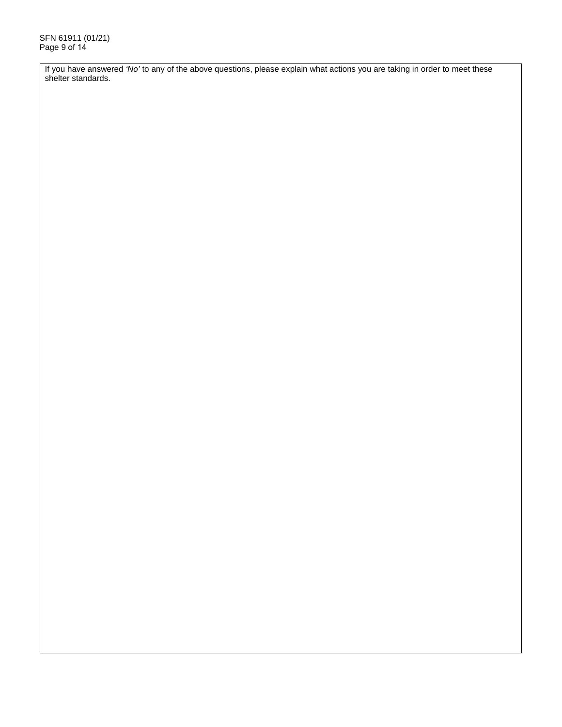If you have answered *'No'* to any of the above questions, please explain what actions you are taking in order to meet these shelter standards.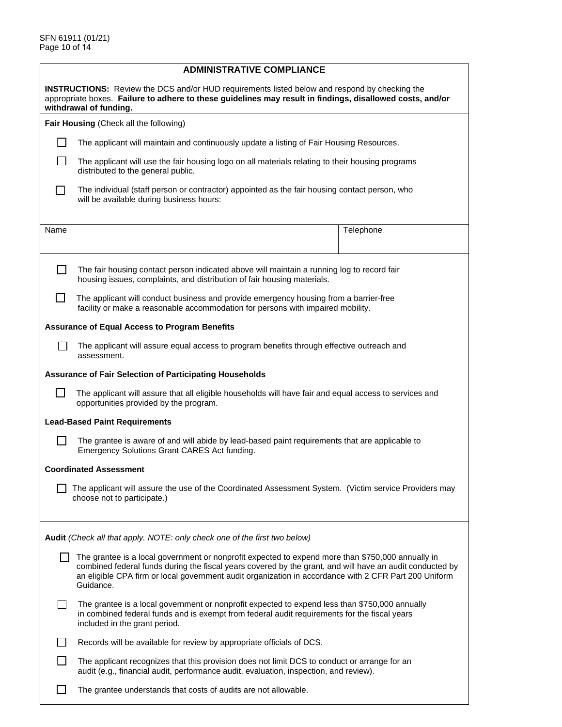|              | <b>ADMINISTRATIVE COMPLIANCE</b>                                                                                                                                                                                                                                                                                                    |  |  |  |  |
|--------------|-------------------------------------------------------------------------------------------------------------------------------------------------------------------------------------------------------------------------------------------------------------------------------------------------------------------------------------|--|--|--|--|
|              | <b>INSTRUCTIONS:</b> Review the DCS and/or HUD requirements listed below and respond by checking the<br>appropriate boxes. Failure to adhere to these guidelines may result in findings, disallowed costs, and/or<br>withdrawal of funding.                                                                                         |  |  |  |  |
|              | Fair Housing (Check all the following)                                                                                                                                                                                                                                                                                              |  |  |  |  |
| $\perp$      | The applicant will maintain and continuously update a listing of Fair Housing Resources.                                                                                                                                                                                                                                            |  |  |  |  |
| $\mathsf{L}$ | The applicant will use the fair housing logo on all materials relating to their housing programs<br>distributed to the general public.                                                                                                                                                                                              |  |  |  |  |
| $\Box$       | The individual (staff person or contractor) appointed as the fair housing contact person, who<br>will be available during business hours:                                                                                                                                                                                           |  |  |  |  |
| Name         | Telephone                                                                                                                                                                                                                                                                                                                           |  |  |  |  |
|              |                                                                                                                                                                                                                                                                                                                                     |  |  |  |  |
| $\mathsf{L}$ | The fair housing contact person indicated above will maintain a running log to record fair<br>housing issues, complaints, and distribution of fair housing materials.                                                                                                                                                               |  |  |  |  |
| $\Box$       | The applicant will conduct business and provide emergency housing from a barrier-free<br>facility or make a reasonable accommodation for persons with impaired mobility.                                                                                                                                                            |  |  |  |  |
|              | <b>Assurance of Equal Access to Program Benefits</b>                                                                                                                                                                                                                                                                                |  |  |  |  |
|              | The applicant will assure equal access to program benefits through effective outreach and<br>assessment.                                                                                                                                                                                                                            |  |  |  |  |
|              | <b>Assurance of Fair Selection of Participating Households</b>                                                                                                                                                                                                                                                                      |  |  |  |  |
| l 1          | The applicant will assure that all eligible households will have fair and equal access to services and<br>opportunities provided by the program.                                                                                                                                                                                    |  |  |  |  |
|              | <b>Lead-Based Paint Requirements</b>                                                                                                                                                                                                                                                                                                |  |  |  |  |
| П            | The grantee is aware of and will abide by lead-based paint requirements that are applicable to<br>Emergency Solutions Grant CARES Act funding.                                                                                                                                                                                      |  |  |  |  |
|              | <b>Coordinated Assessment</b>                                                                                                                                                                                                                                                                                                       |  |  |  |  |
|              | The applicant will assure the use of the Coordinated Assessment System. (Victim service Providers may<br>choose not to participate.)                                                                                                                                                                                                |  |  |  |  |
|              | Audit (Check all that apply. NOTE: only check one of the first two below)                                                                                                                                                                                                                                                           |  |  |  |  |
|              | The grantee is a local government or nonprofit expected to expend more than \$750,000 annually in<br>combined federal funds during the fiscal years covered by the grant, and will have an audit conducted by<br>an eligible CPA firm or local government audit organization in accordance with 2 CFR Part 200 Uniform<br>Guidance. |  |  |  |  |
| $\perp$      | The grantee is a local government or nonprofit expected to expend less than \$750,000 annually<br>in combined federal funds and is exempt from federal audit requirements for the fiscal years<br>included in the grant period.                                                                                                     |  |  |  |  |
|              | Records will be available for review by appropriate officials of DCS.                                                                                                                                                                                                                                                               |  |  |  |  |
| ΙI           | The applicant recognizes that this provision does not limit DCS to conduct or arrange for an<br>audit (e.g., financial audit, performance audit, evaluation, inspection, and review).                                                                                                                                               |  |  |  |  |
| $\mathsf{L}$ | The grantee understands that costs of audits are not allowable.                                                                                                                                                                                                                                                                     |  |  |  |  |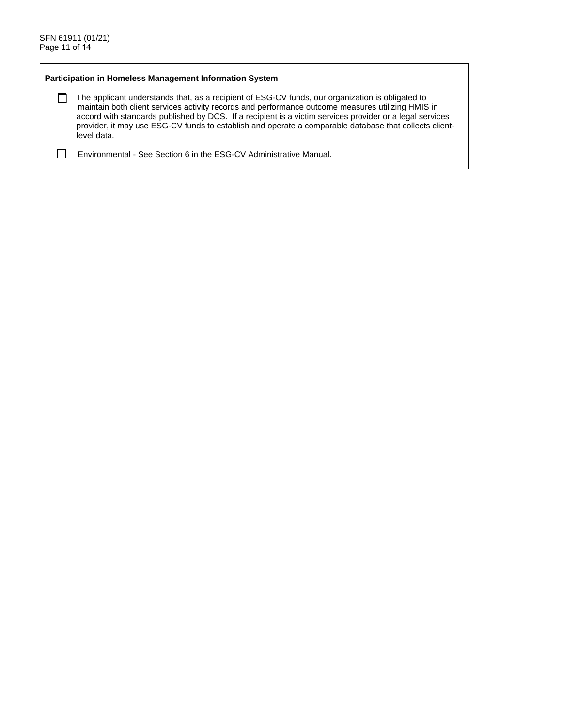$\Box$ 

### **Participation in Homeless Management Information System**

The applicant understands that, as a recipient of ESG-CV funds, our organization is obligated to maintain both client services activity records and performance outcome measures utilizing HMIS in accord with standards published by DCS. If a recipient is a victim services provider or a legal services provider, it may use ESG-CV funds to establish and operate a comparable database that collects clientlevel data.

Environmental - See Section 6 in the ESG-CV Administrative Manual.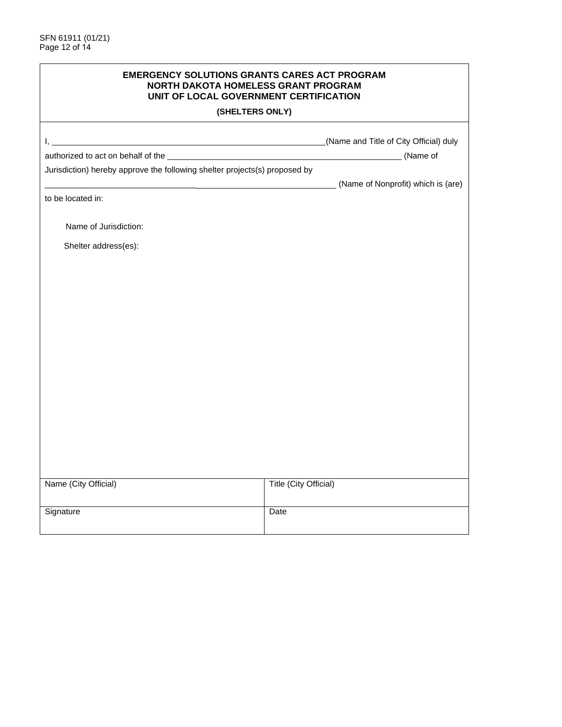| <b>EMERGENCY SOLUTIONS GRANTS CARES ACT PROGRAM</b><br>NORTH DAKOTA HOMELESS GRANT PROGRAM<br>UNIT OF LOCAL GOVERNMENT CERTIFICATION |                                    |  |
|--------------------------------------------------------------------------------------------------------------------------------------|------------------------------------|--|
|                                                                                                                                      | (SHELTERS ONLY)                    |  |
|                                                                                                                                      |                                    |  |
|                                                                                                                                      | (Name of                           |  |
| Jurisdiction) hereby approve the following shelter projects(s) proposed by                                                           |                                    |  |
|                                                                                                                                      | (Name of Nonprofit) which is (are) |  |
| to be located in:                                                                                                                    |                                    |  |
| Name of Jurisdiction:                                                                                                                |                                    |  |
| Shelter address(es):                                                                                                                 |                                    |  |
|                                                                                                                                      |                                    |  |
|                                                                                                                                      |                                    |  |
|                                                                                                                                      |                                    |  |
|                                                                                                                                      |                                    |  |
|                                                                                                                                      |                                    |  |
|                                                                                                                                      |                                    |  |
|                                                                                                                                      |                                    |  |
|                                                                                                                                      |                                    |  |
|                                                                                                                                      |                                    |  |
|                                                                                                                                      |                                    |  |
|                                                                                                                                      |                                    |  |
|                                                                                                                                      |                                    |  |
|                                                                                                                                      |                                    |  |
|                                                                                                                                      |                                    |  |
|                                                                                                                                      |                                    |  |
| Name (City Official)                                                                                                                 | Title (City Official)              |  |
| Signature                                                                                                                            | Date                               |  |
|                                                                                                                                      |                                    |  |
|                                                                                                                                      |                                    |  |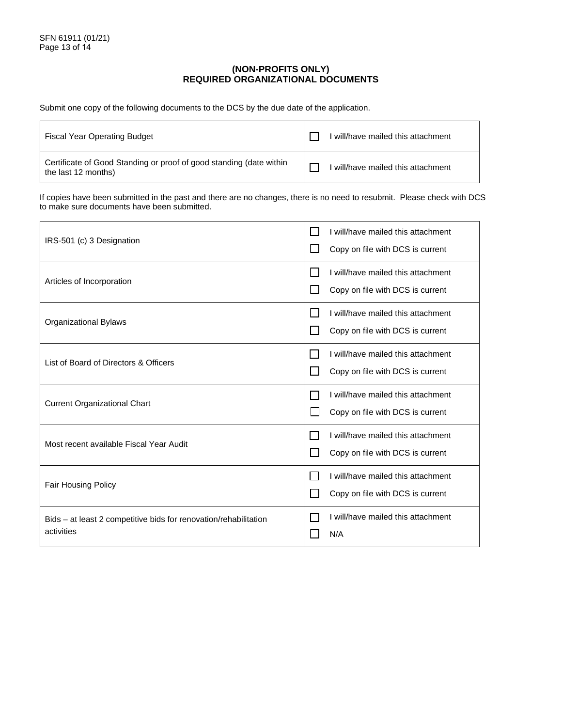## **(NON-PROFITS ONLY) REQUIRED ORGANIZATIONAL DOCUMENTS**

Submit one copy of the following documents to the DCS by the due date of the application.

| <b>Fiscal Year Operating Budget</b>                                                        | will/have mailed this attachment |
|--------------------------------------------------------------------------------------------|----------------------------------|
| Certificate of Good Standing or proof of good standing (date within<br>the last 12 months) | will/have mailed this attachment |

If copies have been submitted in the past and there are no changes, there is no need to resubmit. Please check with DCS to make sure documents have been submitted.

| IRS-501 (c) 3 Designation                                                      | I will/have mailed this attachment<br>Copy on file with DCS is current |
|--------------------------------------------------------------------------------|------------------------------------------------------------------------|
| Articles of Incorporation                                                      | I will/have mailed this attachment<br>Copy on file with DCS is current |
| <b>Organizational Bylaws</b>                                                   | I will/have mailed this attachment<br>Copy on file with DCS is current |
| List of Board of Directors & Officers                                          | I will/have mailed this attachment<br>Copy on file with DCS is current |
| <b>Current Organizational Chart</b>                                            | I will/have mailed this attachment<br>Copy on file with DCS is current |
| Most recent available Fiscal Year Audit                                        | I will/have mailed this attachment<br>Copy on file with DCS is current |
| <b>Fair Housing Policy</b>                                                     | I will/have mailed this attachment<br>Copy on file with DCS is current |
| Bids – at least 2 competitive bids for renovation/rehabilitation<br>activities | I will/have mailed this attachment<br>N/A                              |